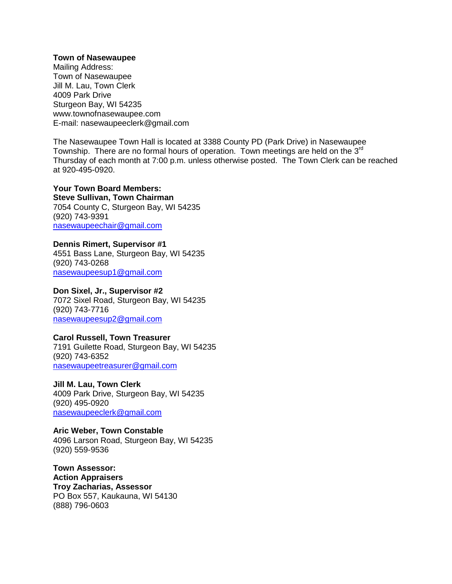#### **Town of Nasewaupee**

Mailing Address: Town of Nasewaupee Jill M. Lau, Town Clerk 4009 Park Drive Sturgeon Bay, WI 54235 www.townofnasewaupee.com E-mail: nasewaupeeclerk@gmail.com

The Nasewaupee Town Hall is located at 3388 County PD (Park Drive) in Nasewaupee Township. There are no formal hours of operation. Town meetings are held on the 3rd Thursday of each month at 7:00 p.m. unless otherwise posted. The Town Clerk can be reached at 920-495-0920.

## **Your Town Board Members: Steve Sullivan, Town Chairman** 7054 County C, Sturgeon Bay, WI 54235 (920) 743-9391

[nasewaupeechair@gmail.com](mailto:nasewaupeechair@gmail.com)

## **Dennis Rimert, Supervisor #1**

4551 Bass Lane, Sturgeon Bay, WI 54235 (920) 743-0268 [nasewaupeesup1@gmail.com](mailto:Nasewaupeesup1@gmail.com)

#### **Don Sixel, Jr., Supervisor #2**

7072 Sixel Road, Sturgeon Bay, WI 54235 (920) 743-7716 [nasewaupeesup2@gmail.com](mailto:Nasewaupeesup1@gmail.com)

# **Carol Russell, Town Treasurer**

7191 Guilette Road, Sturgeon Bay, WI 54235 (920) 743-6352 [nasewaupeetreasurer@gmail.com](mailto:nasewaupeetreasurer@gmail.com)

## **Jill M. Lau, Town Clerk**

4009 Park Drive, Sturgeon Bay, WI 54235 (920) 495-0920 [nasewaupeeclerk@gmail.com](mailto:nasewaupeeclerk@gmail.com)

**Aric Weber, Town Constable** 4096 Larson Road, Sturgeon Bay, WI 54235 (920) 559-9536

**Town Assessor: Action Appraisers Troy Zacharias, Assessor** PO Box 557, Kaukauna, WI 54130 (888) 796-0603